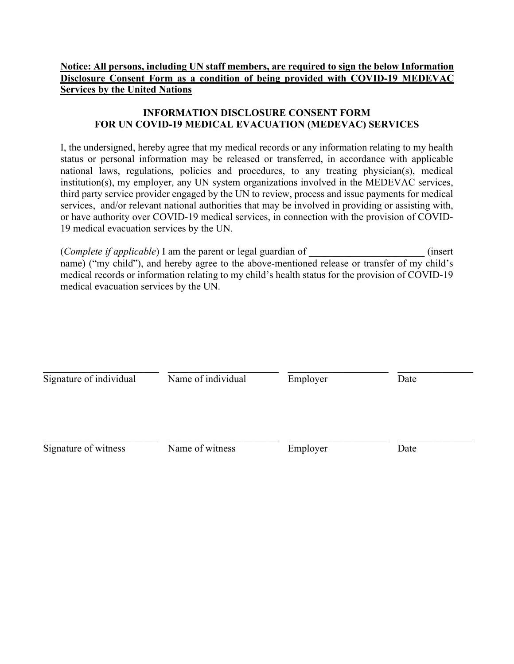## **Notice: All persons, including UN staff members, are required to sign the below Information Disclosure Consent Form as a condition of being provided with COVID-19 MEDEVAC Services by the United Nations**

## **INFORMATION DISCLOSURE CONSENT FORM FOR UN COVID-19 MEDICAL EVACUATION (MEDEVAC) SERVICES**

I, the undersigned, hereby agree that my medical records or any information relating to my health status or personal information may be released or transferred, in accordance with applicable national laws, regulations, policies and procedures, to any treating physician(s), medical institution(s), my employer, any UN system organizations involved in the MEDEVAC services, third party service provider engaged by the UN to review, process and issue payments for medical services, and/or relevant national authorities that may be involved in providing or assisting with, or have authority over COVID-19 medical services, in connection with the provision of COVID-19 medical evacuation services by the UN.

(*Complete if applicable*) I am the parent or legal guardian of \_\_\_\_\_\_\_\_\_\_\_\_\_\_\_\_\_\_\_\_\_\_\_ (insert name) ("my child"), and hereby agree to the above-mentioned release or transfer of my child's medical records or information relating to my child's health status for the provision of COVID-19 medical evacuation services by the UN.

| Signature of individual<br>Signature of witness | Name of individual<br>Name of witness | Employer<br>Employer | Date<br>Date |  |
|-------------------------------------------------|---------------------------------------|----------------------|--------------|--|
|                                                 |                                       |                      |              |  |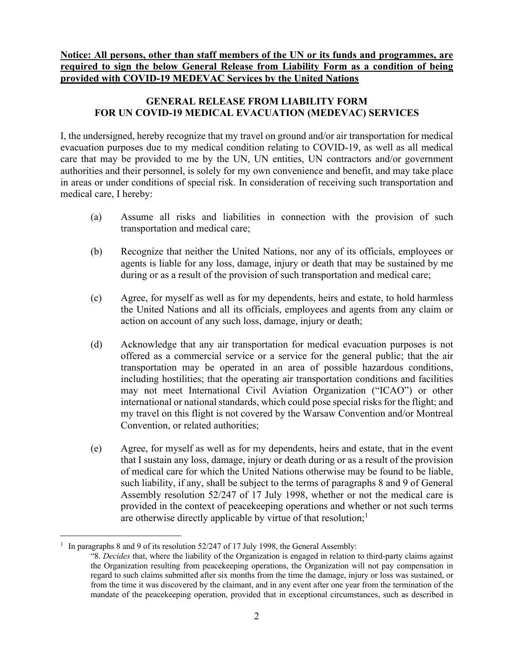**Notice: All persons, other than staff members of the UN or its funds and programmes, are required to sign the below General Release from Liability Form as a condition of being provided with COVID-19 MEDEVAC Services by the United Nations**

## **GENERAL RELEASE FROM LIABILITY FORM FOR UN COVID-19 MEDICAL EVACUATION (MEDEVAC) SERVICES**

I, the undersigned, hereby recognize that my travel on ground and/or air transportation for medical evacuation purposes due to my medical condition relating to COVID-19, as well as all medical care that may be provided to me by the UN, UN entities, UN contractors and/or government authorities and their personnel, is solely for my own convenience and benefit, and may take place in areas or under conditions of special risk. In consideration of receiving such transportation and medical care, I hereby:

- (a) Assume all risks and liabilities in connection with the provision of such transportation and medical care;
- (b) Recognize that neither the United Nations, nor any of its officials, employees or agents is liable for any loss, damage, injury or death that may be sustained by me during or as a result of the provision of such transportation and medical care;
- (c) Agree, for myself as well as for my dependents, heirs and estate, to hold harmless the United Nations and all its officials, employees and agents from any claim or action on account of any such loss, damage, injury or death;
- (d) Acknowledge that any air transportation for medical evacuation purposes is not offered as a commercial service or a service for the general public; that the air transportation may be operated in an area of possible hazardous conditions, including hostilities; that the operating air transportation conditions and facilities may not meet International Civil Aviation Organization ("ICAO") or other international or national standards, which could pose special risks for the flight; and my travel on this flight is not covered by the Warsaw Convention and/or Montreal Convention, or related authorities;
- (e) Agree, for myself as well as for my dependents, heirs and estate, that in the event that I sustain any loss, damage, injury or death during or as a result of the provision of medical care for which the United Nations otherwise may be found to be liable, such liability, if any, shall be subject to the terms of paragraphs 8 and 9 of General Assembly resolution 52/247 of 17 July 1998, whether or not the medical care is provided in the context of peacekeeping operations and whether or not such terms are otherwise directly applicable by virtue of that resolution;<sup>1</sup>

<sup>&</sup>lt;sup>1</sup> In paragraphs 8 and 9 of its resolution 52/247 of 17 July 1998, the General Assembly:

<sup>&</sup>quot;8. *Decides* that, where the liability of the Organization is engaged in relation to third-party claims against the Organization resulting from peacekeeping operations, the Organization will not pay compensation in regard to such claims submitted after six months from the time the damage, injury or loss was sustained, or from the time it was discovered by the claimant, and in any event after one year from the termination of the mandate of the peacekeeping operation, provided that in exceptional circumstances, such as described in